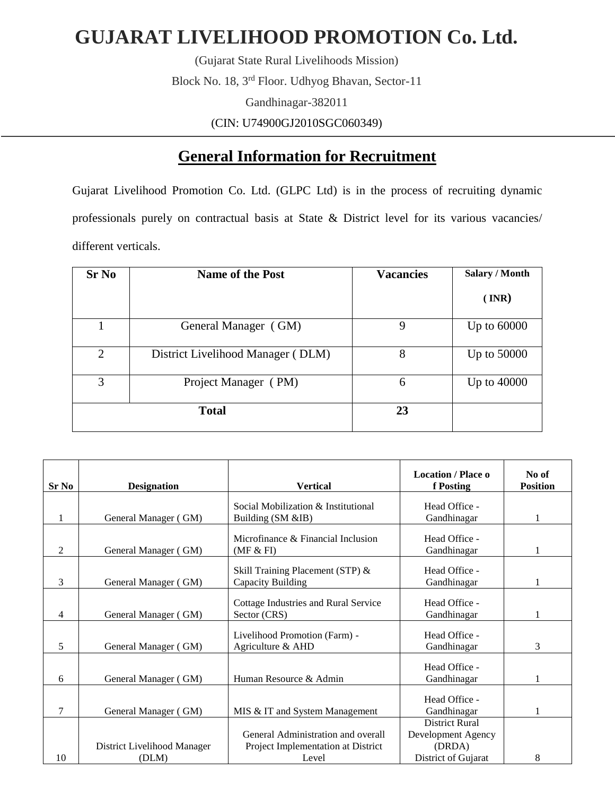# **GUJARAT LIVELIHOOD PROMOTION Co. Ltd.**

(Gujarat State Rural Livelihoods Mission) Block No. 18, 3rd Floor. Udhyog Bhavan, Sector-11 Gandhinagar-382011 (CIN: U74900GJ2010SGC060349)

## **General Information for Recruitment**

Gujarat Livelihood Promotion Co. Ltd. (GLPC Ltd) is in the process of recruiting dynamic professionals purely on contractual basis at State & District level for its various vacancies/ different verticals.

| <b>Sr No</b> | <b>Name of the Post</b>           | <b>Vacancies</b> | <b>Salary / Month</b> |
|--------------|-----------------------------------|------------------|-----------------------|
|              |                                   |                  | $(\mathbf{INR})$      |
|              | General Manager (GM)              | 9                | Up to $60000$         |
| 2            | District Livelihood Manager (DLM) | 8                | Up to 50000           |
| 3            | Project Manager (PM)              | 6                | Up to $40000$         |
|              | <b>Total</b>                      | 23               |                       |

| Sr No | <b>Designation</b>                   | <b>Vertical</b>                                                                   | <b>Location / Place o</b><br>f Posting                                       | No of<br><b>Position</b> |
|-------|--------------------------------------|-----------------------------------------------------------------------------------|------------------------------------------------------------------------------|--------------------------|
| 1     | General Manager (GM)                 | Social Mobilization & Institutional<br>Building (SM &IB)                          | Head Office -<br>Gandhinagar                                                 | 1                        |
| 2     | General Manager (GM)                 | Microfinance & Financial Inclusion<br>(MF & FI)                                   | Head Office -<br>Gandhinagar                                                 |                          |
| 3     | General Manager (GM)                 | Skill Training Placement (STP) &<br>Capacity Building                             | Head Office -<br>Gandhinagar                                                 | 1                        |
| 4     | General Manager (GM)                 | Cottage Industries and Rural Service<br>Sector (CRS)                              | Head Office -<br>Gandhinagar                                                 | 1                        |
| 5     | General Manager (GM)                 | Livelihood Promotion (Farm) -<br>Agriculture & AHD                                | Head Office -<br>Gandhinagar                                                 | 3                        |
| 6     | General Manager (GM)                 | Human Resource & Admin                                                            | Head Office -<br>Gandhinagar                                                 | 1                        |
| 7     | General Manager (GM)                 | MIS & IT and System Management                                                    | Head Office -<br>Gandhinagar                                                 | 1                        |
| 10    | District Livelihood Manager<br>(DLM) | General Administration and overall<br>Project Implementation at District<br>Level | <b>District Rural</b><br>Development Agency<br>(DRDA)<br>District of Gujarat | 8                        |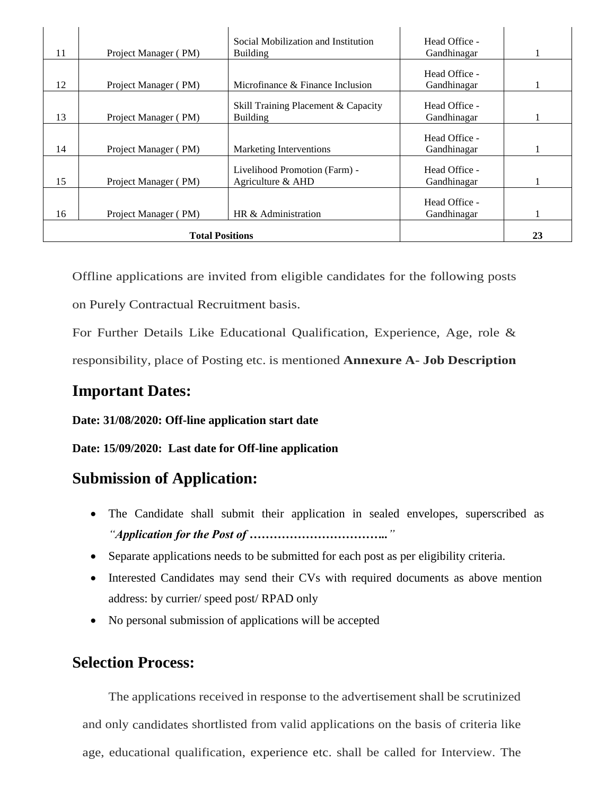| 11                     | Project Manager (PM) | Social Mobilization and Institution<br><b>Building</b> | Head Office -<br>Gandhinagar |    |
|------------------------|----------------------|--------------------------------------------------------|------------------------------|----|
| 12                     | Project Manager (PM) | Microfinance & Finance Inclusion                       | Head Office -<br>Gandhinagar |    |
| 13                     | Project Manager (PM) | Skill Training Placement & Capacity<br><b>Building</b> | Head Office -<br>Gandhinagar |    |
| 14                     | Project Manager (PM) | <b>Marketing Interventions</b>                         | Head Office -<br>Gandhinagar |    |
| 15                     | Project Manager (PM) | Livelihood Promotion (Farm) -<br>Agriculture & AHD     | Head Office -<br>Gandhinagar |    |
| 16                     | Project Manager (PM) | HR & Administration                                    | Head Office -<br>Gandhinagar |    |
| <b>Total Positions</b> |                      |                                                        |                              | 23 |

Offline applications are invited from eligible candidates for the following posts

on Purely Contractual Recruitment basis.

For Further Details Like Educational Qualification, Experience, Age, role & responsibility, place of Posting etc. is mentioned **Annexure A- Job Description** 

### **Important Dates:**

**Date: 31/08/2020: Off-line application start date**

**Date: 15/09/2020: Last date for Off-line application**

## **Submission of Application:**

- The Candidate shall submit their application in sealed envelopes, superscribed as *"Application for the Post of …………………………….."*
- Separate applications needs to be submitted for each post as per eligibility criteria.
- Interested Candidates may send their CVs with required documents as above mention address: by currier/ speed post/ RPAD only
- No personal submission of applications will be accepted

#### **Selection Process:**

The applications received in response to the advertisement shall be scrutinized and only candidates shortlisted from valid applications on the basis of criteria like age, educational qualification, experience etc. shall be called for Interview. The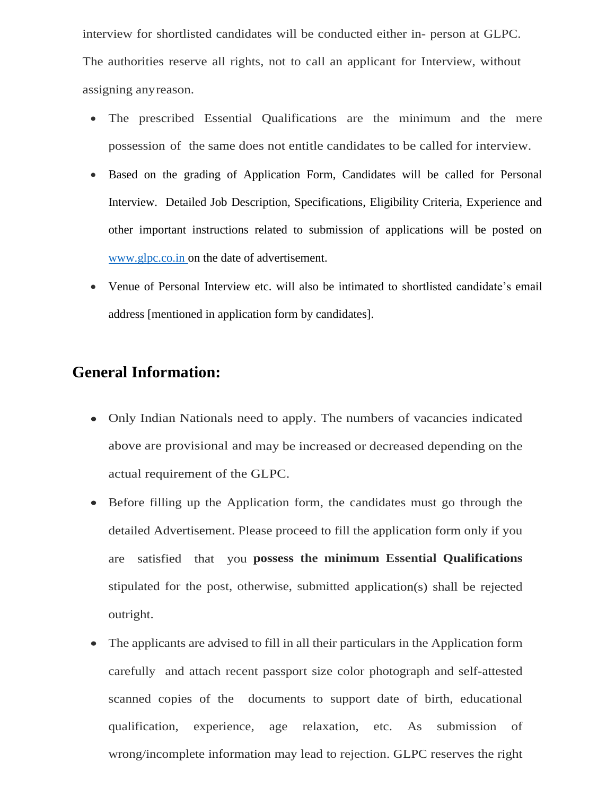interview for shortlisted candidates will be conducted either in- person at GLPC. The authorities reserve all rights, not to call an applicant for Interview, without assigning anyreason.

- The prescribed Essential Qualifications are the minimum and the mere possession of the same does not entitle candidates to be called for interview.
- Based on the grading of Application Form, Candidates will be called for Personal Interview. Detailed Job Description, Specifications, Eligibility Criteria, Experience and other important instructions related to submission of applications will be posted on [www.glpc.co.in](http://www.glpc.co.in/) on the date of advertisement.
- Venue of Personal Interview etc. will also be intimated to shortlisted candidate's email address [mentioned in application form by candidates].

### **General Information:**

- Only Indian Nationals need to apply. The numbers of vacancies indicated above are provisional and may be increased or decreased depending on the actual requirement of the GLPC.
- Before filling up the Application form, the candidates must go through the detailed Advertisement. Please proceed to fill the application form only if you are satisfied that you **possess the minimum Essential Qualifications** stipulated for the post, otherwise, submitted application(s) shall be rejected outright.
- The applicants are advised to fill in all their particulars in the Application form carefully and attach recent passport size color photograph and self-attested scanned copies of the documents to support date of birth, educational qualification, experience, age relaxation, etc. As submission of wrong/incomplete information may lead to rejection. GLPC reserves the right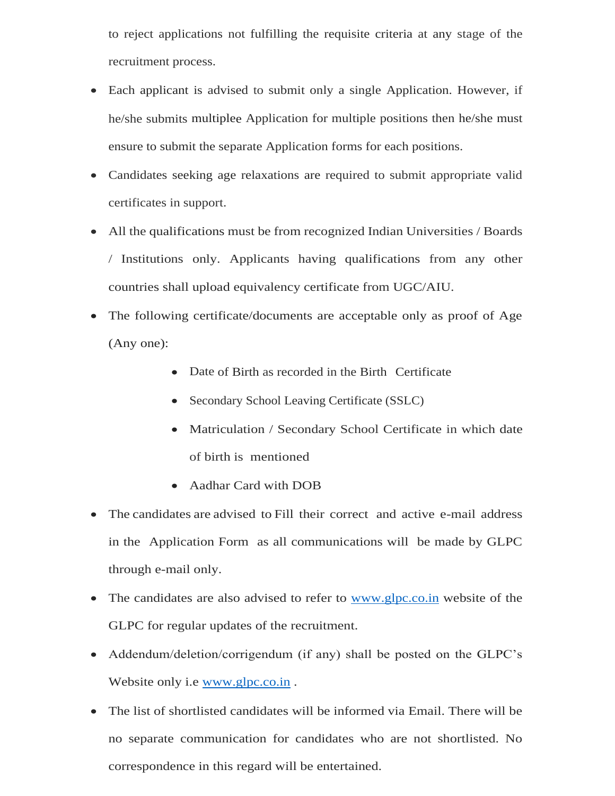to reject applications not fulfilling the requisite criteria at any stage of the recruitment process.

- Each applicant is advised to submit only a single Application. However, if he/she submits multiplee Application for multiple positions then he/she must ensure to submit the separate Application forms for each positions.
- Candidates seeking age relaxations are required to submit appropriate valid certificates in support.
- All the qualifications must be from recognized Indian Universities / Boards / Institutions only. Applicants having qualifications from any other countries shall upload equivalency certificate from UGC/AIU.
- The following certificate/documents are acceptable only as proof of Age (Any one):
	- Date of Birth as recorded in the Birth Certificate
	- Secondary School Leaving Certificate (SSLC)
	- Matriculation / Secondary School Certificate in which date of birth is mentioned
	- Aadhar Card with DOB
- The candidates are advised to Fill their correct and active e-mail address in the Application Form as all communications will be made by GLPC through e-mail only.
- The candidates are also advised to refer to [www.glpc.co.in](http://www.glpc.co.in/) website of the GLPC for regular updates of the recruitment.
- Addendum/deletion/corrigendum (if any) shall be posted on the GLPC's Website only i.e [www.glpc.co.in](http://www.glpc.co.in/).
- The list of shortlisted candidates will be informed via Email. There will be no separate communication for candidates who are not shortlisted. No correspondence in this regard will be entertained.